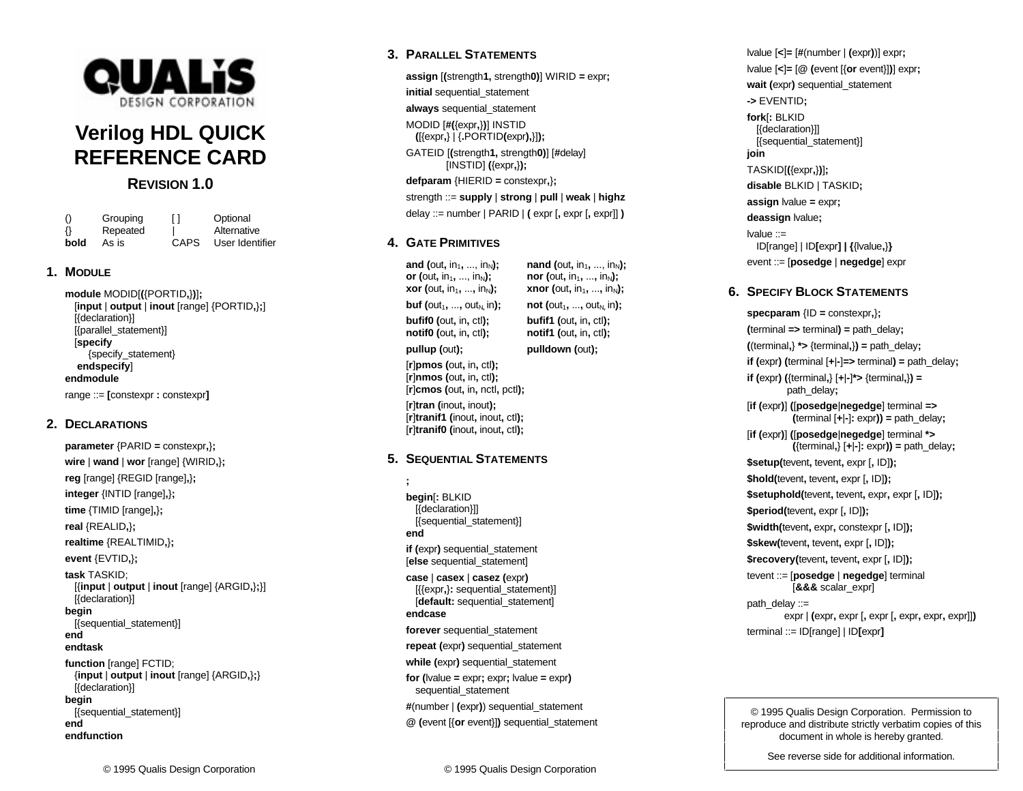

# **Verilog HDL QUICK REFERENCE CARD**

**REVISION 1.0**

| $\left( \right)$ | Grouping | П    | Optional        |
|------------------|----------|------|-----------------|
| $\{\}$           | Repeated |      | Alternative     |
| bold             | As is    | CAPS | User Identifier |

## **1. MODULE**

**module** MODID[**(**{PORTID**,**}**)**]**;** [**input** | **output** | **inout** [range] {PORTID**,**}**;**] [{declaration}] [{parallel\_statement}] [**specify** {specify\_statement} **endspecify**] **endmodule** range ::= **[**constexpr **:** constexpr**]**

**2. DECLARATIONS**

**parameter** {PARID **=** constexpr**,**}**; wire** | **wand** | **wor** [range] {WIRID**,**}**; reg** [range] {REGID [range]**,**}**; integer** {INTID [range]**,**}**; time** {TIMID [range]**,**}**; real** {REALID**,**}**; realtime** {REALTIMID**,**}**; event** {EVTID**,**}**; task** TASKID; [{**input** | **output** | **inout** [range] {ARGID**,**}**;**}] [{declaration}] **begin** [{sequential\_statement}] **endendtaskfunction** [range] FCTID; {**input** | **output** | **inout** [range] {ARGID**,**}**;**} [{declaration}] **begin** [{sequential\_statement}] **end**

**endfunction**

## **3. PARALLEL STATEMENTS**

**assign** [**(**strength**1,** strength**0)**] WIRID **=** expr**; initial** sequential\_statement **always** sequential\_statement MODID [**#(**{expr**,**}**)**] INSTID **(**[{expr**,**} | {**.**PORTID**(**expr**),**}]**);** GATEID [**(**strength**1,** strength**0)**] [**#**delay] [INSTID] **(**{expr**,**}**); defparam** {HIERID **=** constexpr**,**}**;** strength ::= **supply** | **strong** | **pull** | **weak** | **highz** delay ::= number | PARID | **(** expr [**,** expr [**,** expr]] **)**

## **4. GATE PRIMITIVES**

**or** (out, in<sub>1</sub>, ..., in<sub>N</sub>); **nor** (out, in<sub>1</sub>, ..., in<sub>N</sub>); **xor** (out, in<sub>1</sub>, ..., in<sub>N</sub>); **xnor** (out, in<sub>1</sub>, ..., in<sub>N</sub>); **buf (**out<sub>1</sub>, ..., out<sub>N</sub> in); **not (**out<sub>1</sub>, ..., out<sub>N</sub> in); **bufif0 (**out**,** in**,** ctl**); bufif1 (**out**,** in**,** ctl**); notif0 (**out**,** in**,** ctl**); notif1 (**out**,** in**,** ctl**); pullup (**out**); pulldown (**out**);**

**and (**out, in<sub>1</sub>, ..., in<sub>N</sub>); **nand (**out, in<sub>1</sub>, ..., in<sub>N</sub>);

[**r**]**pmos (**out**,** in**,** ctl**);** [**r**]**nmos (**out**,** in**,** ctl**);** [**r**]**cmos (**out**,** in**,** nctl**,** pctl**);** [**r**]**tran (**inout**,** inout**);** [**r**]**tranif1 (**inout**,** inout**,** ctl**);** [**r**]**tranif0 (**inout**,** inout**,** ctl**);**

## **5. SEQUENTIAL STATEMENTS**

**; begin**[**:** BLKID [{declaration}]] [{sequential\_statement}] **endif (**expr**)** sequential\_statement [else sequential statement] **case** | **casex** | **casez (**expr**)**

[{{expr**,**}**:** sequential\_statement}] [**default:** sequential\_statement] **endcaseforever** sequential\_statement **repeat (**expr**)** sequential\_statement **while (**expr**)** sequential\_statement **for (**lvalue **=** expr**;** expr**;** lvalue **=** expr**)** sequential\_statement **#**(number | **(**expr**)**) sequential\_statement

**@ (**event [{**or** event}]**)** sequential\_statement

lvalue [**<**]**=** [**#**(number | **(**expr**)**)] expr**;** lvalue [**<**]**=** [**@ (**event [{**or** event}]**)**] expr**; wait (**expr**)** sequential\_statement **->** EVENTID**; fork**[**:** BLKID [{declaration}]] [{sequential\_statement}] **join** TASKID[**(**{expr**,**}**)**]**; disable** BLKID | TASKID**; assign** lvalue **<sup>=</sup>**expr**; deassign** lvalue**;** lvalue ::=ID[range] | ID**[**expr**] | {**{lvalue**,**}**}** event ::= [**posedge** | **negedge**] expr

## **6. SPECIFY BLOCK STATEMENTS**

**specparam** {ID **=** constexpr**,**}**; (**terminal **=>** terminal**) <sup>=</sup>** path\_delay**; (**(terminal**,**} **\*>** {terminal**,**}**) =** path\_delay**; if (**expr**) (**terminal [**+**|**-**]**=>** terminal**) =** path\_delay**; if (**expr**) (**{terminal**,**} [**+**|**-**]**\*>** {terminal**,**}**) =** path\_delay**;** [**if (**expr**)**] **(**[**posedge**|**negedge**] terminal **=> (**terminal [**+**|**-**]**:** expr**)) =** path\_delay**;** [**if (**expr**)**] **(**[**posedge**|**negedge**] terminal **\*> (**{terminal**,**} [**+**|**-**]**:** expr**)) =** path\_delay**; \$setup(**tevent**,** tevent**,** expr [**,** ID]**); \$hold(**tevent**,** tevent**,** expr [**,** ID]**); \$setuphold(**tevent**,** tevent**,** expr**,** expr [**,** ID]**); \$period(**tevent**,** expr [**,** ID]**); \$width(**tevent**,** expr**,** constexpr [**,** ID]**); \$skew(**tevent**,** tevent**,** expr [**,** ID]**); \$recovery(**tevent**,** tevent**,** expr [**,** ID]**);** tevent ::= [**posedge** | **negedge**] terminal [**&&&** scalar\_expr] path\_delay  $::=$ expr | **(**expr**,** expr [**,** expr [**,** expr**,** expr**,** expr]]**)** terminal ::= ID[range] | ID**[**expr**]**

© 1995 Qualis Design Corporation. Permission to reproduce and distribute strictly verbatim copies of this document in whole is hereby granted.

See reverse side for additional information.